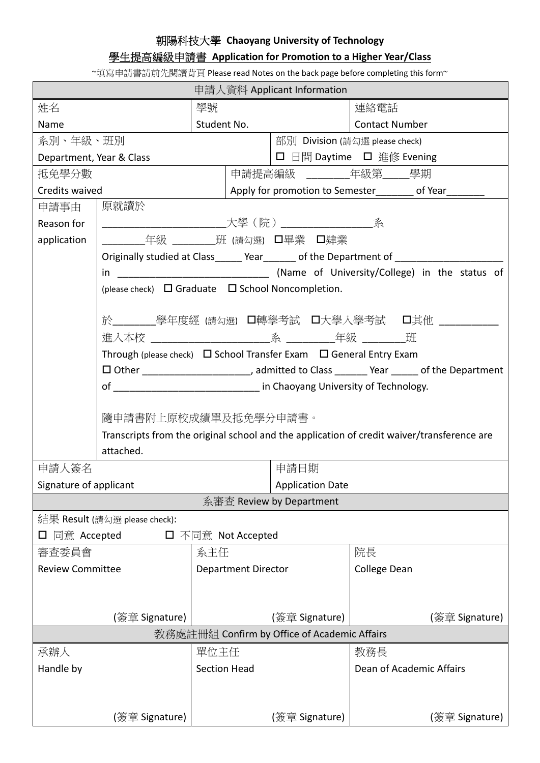## 朝陽科技大學 **Chaoyang University of Technology**

## 學生提高編級申請書 **Application for Promotion to a Higher Year/Class**

~填寫申請書請前先閱讀背頁 Please read Notes on the back page before completing this form~

| 申請人資料 Applicant Information                                 |                                                                                                                                                                                                                                |                            |                                                     |                          |  |
|-------------------------------------------------------------|--------------------------------------------------------------------------------------------------------------------------------------------------------------------------------------------------------------------------------|----------------------------|-----------------------------------------------------|--------------------------|--|
| 姓名                                                          |                                                                                                                                                                                                                                | 學號                         |                                                     | 連絡電話                     |  |
| Name                                                        |                                                                                                                                                                                                                                | Student No.                |                                                     | <b>Contact Number</b>    |  |
| 系別、年級、班別                                                    |                                                                                                                                                                                                                                |                            | 部別 Division (請勾選 please check)                      |                          |  |
| Department, Year & Class                                    |                                                                                                                                                                                                                                |                            | □ 日間 Daytime □ 進修 Evening                           |                          |  |
| 抵免學分數                                                       |                                                                                                                                                                                                                                |                            | 申請提高編級 _________年級第_____學期                          |                          |  |
| Credits waived                                              |                                                                                                                                                                                                                                |                            | Apply for promotion to Semester_______ of Year_____ |                          |  |
| 申請事由                                                        | 原就讀於                                                                                                                                                                                                                           |                            |                                                     |                          |  |
| Reason for                                                  |                                                                                                                                                                                                                                |                            |                                                     |                          |  |
| application                                                 |                                                                                                                                                                                                                                |                            |                                                     |                          |  |
|                                                             | Originally studied at Class______ Year______ of the Department of ___________                                                                                                                                                  |                            |                                                     |                          |  |
|                                                             |                                                                                                                                                                                                                                |                            |                                                     |                          |  |
| (please check) $\Box$ Graduate $\Box$ School Noncompletion. |                                                                                                                                                                                                                                |                            |                                                     |                          |  |
|                                                             |                                                                                                                                                                                                                                |                            |                                                     |                          |  |
|                                                             | 於________學年度經 (請勾選) ロ轉學考試 ロ大學入學考試  ロ其他 __________                                                                                                                                                                              |                            |                                                     |                          |  |
|                                                             |                                                                                                                                                                                                                                |                            |                                                     |                          |  |
|                                                             | Through (please check) $\Box$ School Transfer Exam $\Box$ General Entry Exam                                                                                                                                                   |                            |                                                     |                          |  |
|                                                             | □ Other ____________________________, admitted to Class ________ Year ______ of the Department                                                                                                                                 |                            |                                                     |                          |  |
|                                                             | of the contract of the contract of the contract of the contract of the contract of the contract of the contract of the contract of the contract of the contract of the contract of the contract of the contract of the contrac |                            |                                                     |                          |  |
|                                                             |                                                                                                                                                                                                                                |                            |                                                     |                          |  |
|                                                             | 隨申請書附上原校成績單及抵免學分申請書。                                                                                                                                                                                                           |                            |                                                     |                          |  |
|                                                             | Transcripts from the original school and the application of credit waiver/transference are                                                                                                                                     |                            |                                                     |                          |  |
| attached.                                                   |                                                                                                                                                                                                                                |                            |                                                     |                          |  |
| 申請人簽名                                                       |                                                                                                                                                                                                                                |                            | 申請日期                                                |                          |  |
| Signature of applicant                                      |                                                                                                                                                                                                                                |                            | <b>Application Date</b>                             |                          |  |
| 系審査 Review by Department                                    |                                                                                                                                                                                                                                |                            |                                                     |                          |  |
| 結果 Result (請勾選 please check):                               |                                                                                                                                                                                                                                |                            |                                                     |                          |  |
| □ 同意 Accepted<br>□ 不同意 Not Accepted                         |                                                                                                                                                                                                                                |                            |                                                     |                          |  |
| 審查委員會                                                       |                                                                                                                                                                                                                                | 系主任                        |                                                     | 院長                       |  |
| <b>Review Committee</b>                                     |                                                                                                                                                                                                                                | <b>Department Director</b> |                                                     | College Dean             |  |
|                                                             |                                                                                                                                                                                                                                |                            |                                                     |                          |  |
|                                                             |                                                                                                                                                                                                                                |                            |                                                     |                          |  |
|                                                             | (簽章 Signature)                                                                                                                                                                                                                 |                            | (簽章 Signature)                                      | (簽章 Signature)           |  |
| 教務處註冊組 Confirm by Office of Academic Affairs                |                                                                                                                                                                                                                                |                            |                                                     |                          |  |
| 承辦人<br>單位主任                                                 |                                                                                                                                                                                                                                |                            |                                                     | 教務長                      |  |
| Handle by                                                   |                                                                                                                                                                                                                                | <b>Section Head</b>        |                                                     | Dean of Academic Affairs |  |
|                                                             |                                                                                                                                                                                                                                |                            |                                                     |                          |  |
|                                                             | (簽章 Signature)                                                                                                                                                                                                                 |                            | (簽章 Signature)                                      | (簽章 Signature)           |  |